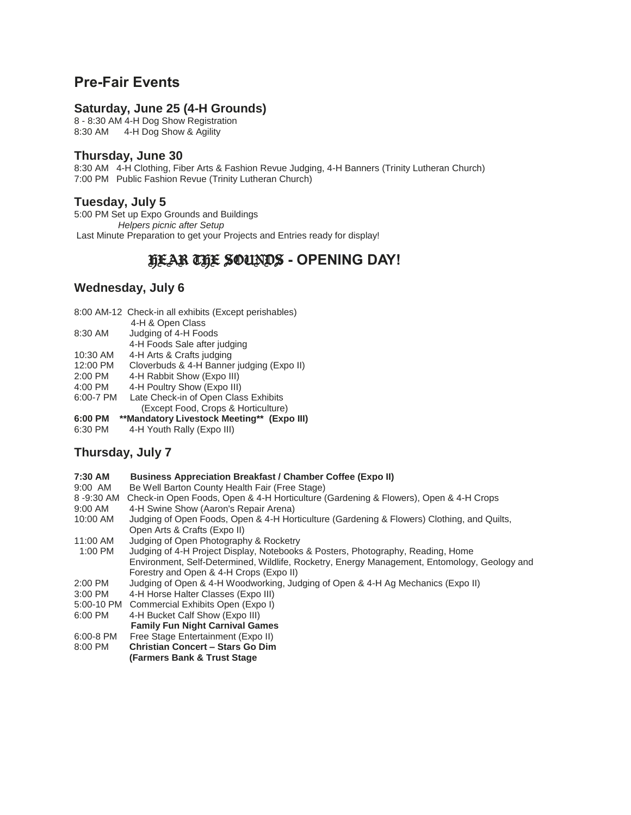# **Pre-Fair Events**

#### **Saturday, June 25 (4-H Grounds)**

8 - 8:30 AM 4-H Dog Show Registration 8:30 AM 4-H Dog Show & Agility

#### **Thursday, June 30**

8:30 AM 4-H Clothing, Fiber Arts & Fashion Revue Judging, 4-H Banners (Trinity Lutheran Church) 7:00 PM Public Fashion Revue (Trinity Lutheran Church)

#### **Tuesday, July 5**

5:00 PM Set up Expo Grounds and Buildings  *Helpers picnic after Setup* Last Minute Preparation to get your Projects and Entries ready for display!

# HEAR THE SOUNDS **- OPENING DAY!**

### **Wednesday, July 6**

|           | 8:00 AM-12 Check-in all exhibits (Except perishables) |
|-----------|-------------------------------------------------------|
|           | 4-H & Open Class                                      |
| 8:30 AM   | Judging of 4-H Foods                                  |
|           | 4-H Foods Sale after judging                          |
| 10:30 AM  | 4-H Arts & Crafts judging                             |
| 12:00 PM  | Cloverbuds & 4-H Banner judging (Expo II)             |
| 2:00 PM   | 4-H Rabbit Show (Expo III)                            |
| 4:00 PM   | 4-H Poultry Show (Expo III)                           |
| 6:00-7 PM | Late Check-in of Open Class Exhibits                  |
|           | (Except Food, Crops & Horticulture)                   |

- **6:00 PM \*\*Mandatory Livestock Meeting\*\* (Expo III)**
- 6:30 PM 4-H Youth Rally (Expo III)

# **Thursday, July 7**

- **7:30 AM Business Appreciation Breakfast / Chamber Coffee (Expo II)**
- 9:00 AM Be Well Barton County Health Fair (Free Stage)
- 8 -9:30 AM Check-in Open Foods, Open & 4-H Horticulture (Gardening & Flowers), Open & 4-H Crops
- 9:00 AM 4-H Swine Show (Aaron's Repair Arena)
- 10:00 AM Judging of Open Foods, Open & 4-H Horticulture (Gardening & Flowers) Clothing, and Quilts, Open Arts & Crafts (Expo II)
- 11:00 AM Judging of Open Photography & Rocketry
- 1:00 PM Judging of 4-H Project Display, Notebooks & Posters, Photography, Reading, Home Environment, Self-Determined, Wildlife, Rocketry, Energy Management, Entomology, Geology and Forestry and Open & 4-H Crops (Expo II)
- 2:00 PM Judging of Open & 4-H Woodworking, Judging of Open & 4-H Ag Mechanics (Expo II)
- 3:00 PM 4-H Horse Halter Classes (Expo III)
- 5:00-10 PM Commercial Exhibits Open (Expo I)
- 6:00 PM 4-H Bucket Calf Show (Expo III)
- **Family Fun Night Carnival Games**
- 6:00-8 PM Free Stage Entertainment (Expo II)
- 8:00 PM **Christian Concert – Stars Go Dim (Farmers Bank & Trust Stage**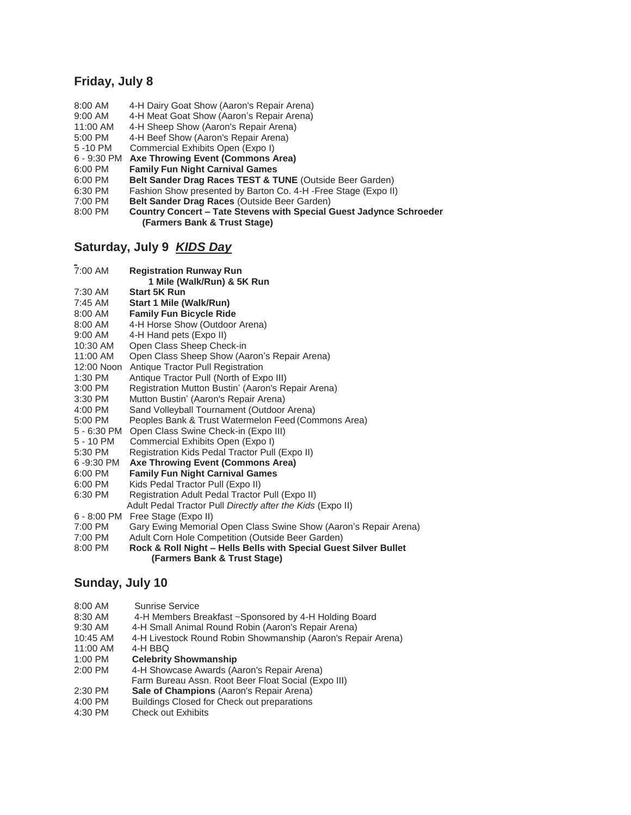#### **Friday, July 8**

- 8:00 AM 4-H Dairy Goat Show (Aaron's Repair Arena)
- 9:00 AM 4-H Meat Goat Show (Aaron's Repair Arena)
- 11:00 AM 4-H Sheep Show (Aaron's Repair Arena)
- 5:00 PM 4-H Beef Show (Aaron's Repair Arena)
- 5 -10 PM Commercial Exhibits Open (Expo I)
- 6 9:30 PM **Axe Throwing Event (Commons Area)**
- 6:00 PM **Family Fun Night Carnival Games**
- 6:00 PM **Belt Sander Drag Races TEST & TUNE** (Outside Beer Garden)
- 6:30 PM Fashion Show presented by Barton Co. 4-H -Free Stage (Expo II)
- 7:00 PM **Belt Sander Drag Races** (Outside Beer Garden)
- 8:00 PM **Country Concert – Tate Stevens with Special Guest Jadynce Schroeder (Farmers Bank & Trust Stage)**

### **Saturday, July 9** *KIDS Day*

| 7:00 AM   | <b>Registration Runway Run</b><br>1 Mile (Walk/Run) & 5K Run |
|-----------|--------------------------------------------------------------|
| 7:30 AM   | <b>Start 5K Run</b>                                          |
| $7:45$ AM | <b>Start 1 Mile (Walk/Run)</b>                               |
| $8:00$ AM | <b>Family Fun Bicycle Ride</b>                               |
| 8:00 AM   | 4-H Horse Show (Outdoor Arena)                               |
| $9:00$ AM | 4-H Hand pets (Expo II)                                      |
| 10:30 AM  | Open Class Sheep Check-in                                    |

- 11:00 AM Open Class Sheep Show (Aaron's Repair Arena)
- 12:00 Noon Antique Tractor Pull Registration
- 1:30 PM Antique Tractor Pull (North of Expo III)
- 3:00 PM Registration Mutton Bustin' (Aaron's Repair Arena)
- 3:30 PM Mutton Bustin' (Aaron's Repair Arena)
- 4:00 PM Sand Volleyball Tournament (Outdoor Arena)
- 5:00 PM Peoples Bank & Trust Watermelon Feed (Commons Area)
- 5 6:30 PM Open Class Swine Check-in (Expo III)
- 5 10 PM Commercial Exhibits Open (Expo I)<br>5:30 PM Registration Kids Pedal Tractor Pull
- Registration Kids Pedal Tractor Pull (Expo II)
- 6 -9:30 PM **Axe Throwing Event (Commons Area)**
- 6:00 PM **Family Fun Night Carnival Games**
- 6:00 PM Kids Pedal Tractor Pull (Expo II)
- 6:30 PM Registration Adult Pedal Tractor Pull (Expo II)
- Adult Pedal Tractor Pull *Directly after the Kids* (Expo II)
- 6 8:00 PM Free Stage (Expo II)
- 7:00 PM Gary Ewing Memorial Open Class Swine Show (Aaron's Repair Arena)
- 7:00 PM Adult Corn Hole Competition (Outside Beer Garden)
- 8:00 PM **Rock & Roll Night – Hells Bells with Special Guest Silver Bullet (Farmers Bank & Trust Stage)**

# **Sunday, July 10**

| 8:00 AM    | Sunrise Service                                              |
|------------|--------------------------------------------------------------|
| 8:30 AM    | 4-H Members Breakfast ~Sponsored by 4-H Holding Board        |
| 9:30 AM    | 4-H Small Animal Round Robin (Aaron's Repair Arena)          |
| $10:45$ AM | 4-H Livestock Round Robin Showmanship (Aaron's Repair Arena) |
| 11:00 AM   | 4-H BBQ                                                      |
| 1:00 PM    | <b>Celebrity Showmanship</b>                                 |
| $2:00$ PM  | 4-H Showcase Awards (Aaron's Repair Arena)                   |
|            | Farm Bureau Assn. Root Beer Float Social (Expo III)          |
| 2:30 PM    | <b>Sale of Champions</b> (Aaron's Repair Arena)              |
| 4:00 PM    | <b>Buildings Closed for Check out preparations</b>           |
| $4:30$ PM  | <b>Check out Exhibits</b>                                    |
|            |                                                              |